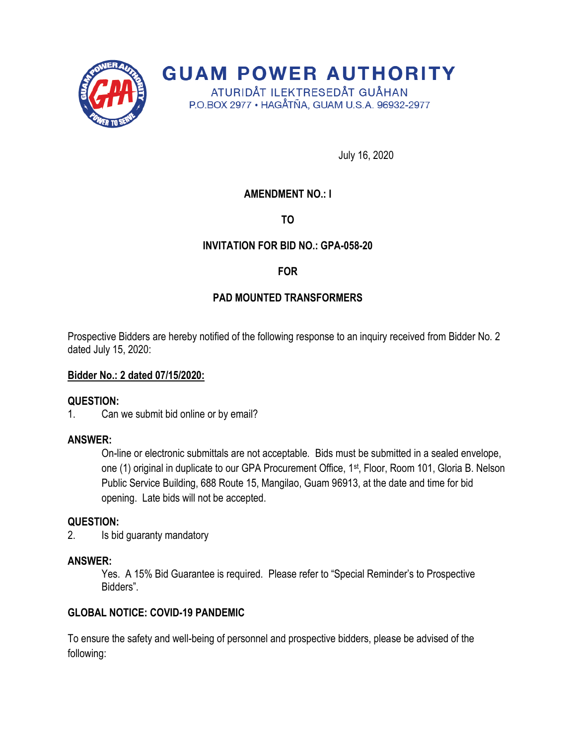

**GUAM POWER AUTHORITY** ATURIDÅT ILEKTRESEDÅT GUÅHAN

P.O.BOX 2977 · HAGÅTÑA, GUAM U.S.A. 96932-2977

July 16, 2020

# **AMENDMENT NO.: I**

**TO**

## **INVITATION FOR BID NO.: GPA-058-20**

**FOR**

# **PAD MOUNTED TRANSFORMERS**

Prospective Bidders are hereby notified of the following response to an inquiry received from Bidder No. 2 dated July 15, 2020:

### **Bidder No.: 2 dated 07/15/2020:**

#### **QUESTION:**

1. Can we submit bid online or by email?

#### **ANSWER:**

On-line or electronic submittals are not acceptable. Bids must be submitted in a sealed envelope, one (1) original in duplicate to our GPA Procurement Office, 1<sup>st</sup>, Floor, Room 101, Gloria B. Nelson Public Service Building, 688 Route 15, Mangilao, Guam 96913, at the date and time for bid opening. Late bids will not be accepted.

#### **QUESTION:**

2. Is bid guaranty mandatory

#### **ANSWER:**

Yes. A 15% Bid Guarantee is required. Please refer to "Special Reminder's to Prospective Bidders".

## **GLOBAL NOTICE: COVID-19 PANDEMIC**

To ensure the safety and well-being of personnel and prospective bidders, please be advised of the following: